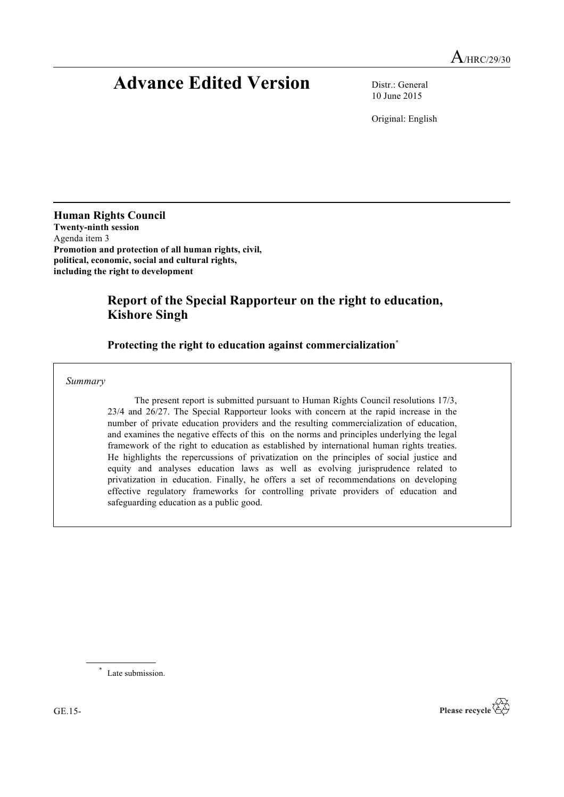# **Advance Edited Version** Distr.: General

10 June 2015

Original: English

**Human Rights Council Twenty-ninth session** Agenda item 3 **Promotion and protection of all human rights, civil, political, economic, social and cultural rights, including the right to development**

# **Report of the Special Rapporteur on the right to education, Kishore Singh**

# **Protecting the right to education against commercialization**\*

*Summary*

The present report is submitted pursuant to Human Rights Council resolutions 17/3, 23/4 and 26/27. The Special Rapporteur looks with concern at the rapid increase in the number of private education providers and the resulting commercialization of education, and examines the negative effects of this on the norms and principles underlying the legal framework of the right to education as established by international human rights treaties. He highlights the repercussions of privatization on the principles of social justice and equity and analyses education laws as well as evolving jurisprudence related to privatization in education. Finally, he offers a set of recommendations on developing effective regulatory frameworks for controlling private providers of education and safeguarding education as a public good.

\* Late submission.

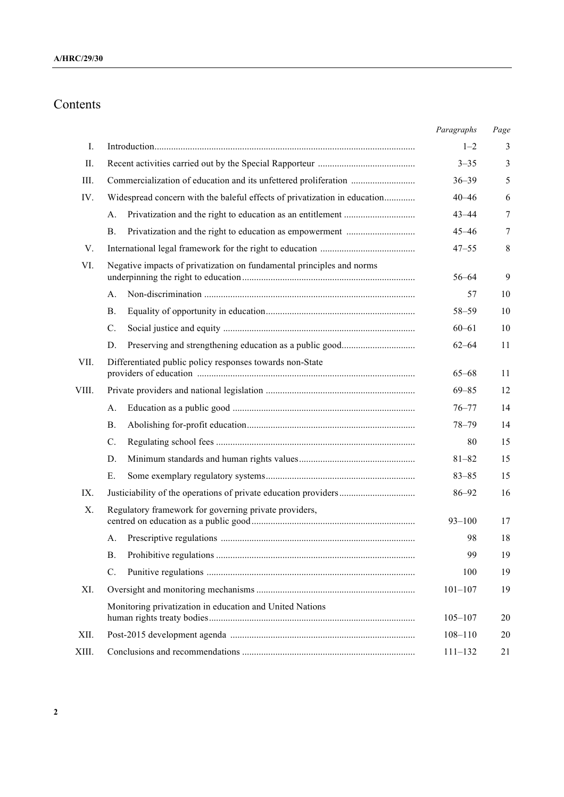# Contents

|             |                                                                           | Paragraphs  | Page |
|-------------|---------------------------------------------------------------------------|-------------|------|
| $I_{\cdot}$ |                                                                           | $1 - 2$     | 3    |
| II.         |                                                                           | $3 - 35$    | 3    |
| III.        |                                                                           | $36 - 39$   | 5    |
| IV.         | Widespread concern with the baleful effects of privatization in education | $40 - 46$   | 6    |
|             | A.                                                                        | $43 - 44$   | 7    |
|             | <b>B</b> .                                                                | $45 - 46$   | 7    |
| V.          |                                                                           | $47 - 55$   | 8    |
| VI.         | Negative impacts of privatization on fundamental principles and norms     | $56 - 64$   | 9    |
|             | A.                                                                        | 57          | 10   |
|             | <b>B.</b>                                                                 | $58 - 59$   | 10   |
|             | $\mathcal{C}$ .                                                           | $60 - 61$   | 10   |
|             | D.                                                                        | $62 - 64$   | 11   |
| VII.        | Differentiated public policy responses towards non-State                  | $65 - 68$   | 11   |
| VIII.       |                                                                           | $69 - 85$   | 12   |
|             | A <sub>1</sub>                                                            | $76 - 77$   | 14   |
|             | <b>B</b> .                                                                | $78 - 79$   | 14   |
|             | $\mathcal{C}$ .                                                           | 80          | 15   |
|             | D.                                                                        | $81 - 82$   | 15   |
|             | Ε.                                                                        | $83 - 85$   | 15   |
| IX.         |                                                                           | $86 - 92$   | 16   |
| X.          | Regulatory framework for governing private providers,                     | $93 - 100$  | 17   |
|             | А.                                                                        | 98          | 18   |
|             | <b>B.</b>                                                                 | 99          | 19   |
|             | $C$ .                                                                     | 100         | 19   |
| XI.         |                                                                           | $101 - 107$ | 19   |
|             | Monitoring privatization in education and United Nations                  | $105 - 107$ | 20   |
| XII.        |                                                                           | $108 - 110$ | 20   |
| XIII.       |                                                                           | $111 - 132$ | 21   |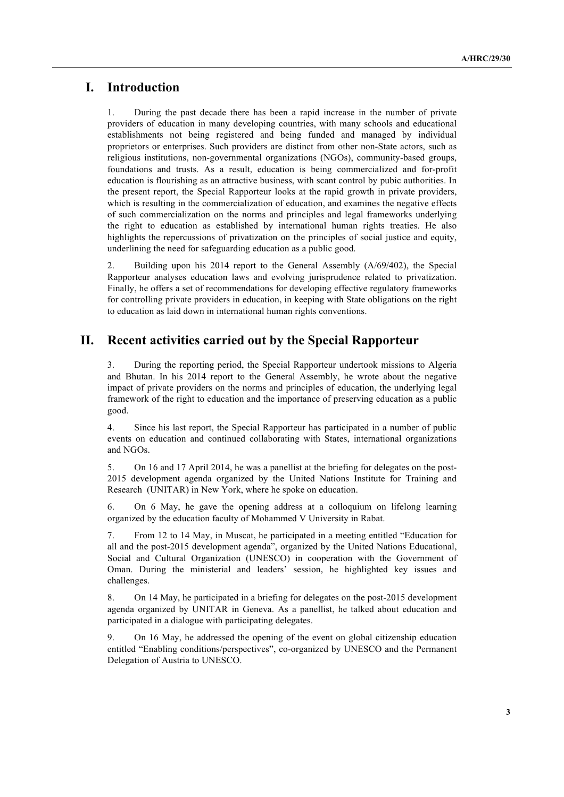# **I. Introduction**

1. During the past decade there has been a rapid increase in the number of private providers of education in many developing countries, with many schools and educational establishments not being registered and being funded and managed by individual proprietors or enterprises. Such providers are distinct from other non-State actors, such as religious institutions, non-governmental organizations (NGOs), community-based groups, foundations and trusts. As a result, education is being commercialized and for-profit education is flourishing as an attractive business, with scant control by pubic authorities. In the present report, the Special Rapporteur looks at the rapid growth in private providers, which is resulting in the commercialization of education, and examines the negative effects of such commercialization on the norms and principles and legal frameworks underlying the right to education as established by international human rights treaties. He also highlights the repercussions of privatization on the principles of social justice and equity, underlining the need for safeguarding education as a public good.

2. Building upon his 2014 report to the General Assembly (A/69/402), the Special Rapporteur analyses education laws and evolving jurisprudence related to privatization. Finally, he offers a set of recommendations for developing effective regulatory frameworks for controlling private providers in education, in keeping with State obligations on the right to education as laid down in international human rights conventions.

# **II. Recent activities carried out by the Special Rapporteur**

3. During the reporting period, the Special Rapporteur undertook missions to Algeria and Bhutan. In his 2014 report to the General Assembly, he wrote about the negative impact of private providers on the norms and principles of education, the underlying legal framework of the right to education and the importance of preserving education as a public good.

4. Since his last report, the Special Rapporteur has participated in a number of public events on education and continued collaborating with States, international organizations and NGOs.

5. On 16 and 17 April 2014, he was a panellist at the briefing for delegates on the post-2015 development agenda organized by the United Nations Institute for Training and Research (UNITAR) in New York, where he spoke on education.

6. On 6 May, he gave the opening address at a colloquium on lifelong learning organized by the education faculty of Mohammed V University in Rabat.

7. From 12 to 14 May, in Muscat, he participated in a meeting entitled "Education for all and the post-2015 development agenda", organized by the United Nations Educational, Social and Cultural Organization (UNESCO) in cooperation with the Government of Oman. During the ministerial and leaders' session, he highlighted key issues and challenges.

8. On 14 May, he participated in a briefing for delegates on the post-2015 development agenda organized by UNITAR in Geneva. As a panellist, he talked about education and participated in a dialogue with participating delegates.

9. On 16 May, he addressed the opening of the event on global citizenship education entitled "Enabling conditions/perspectives", co-organized by UNESCO and the Permanent Delegation of Austria to UNESCO.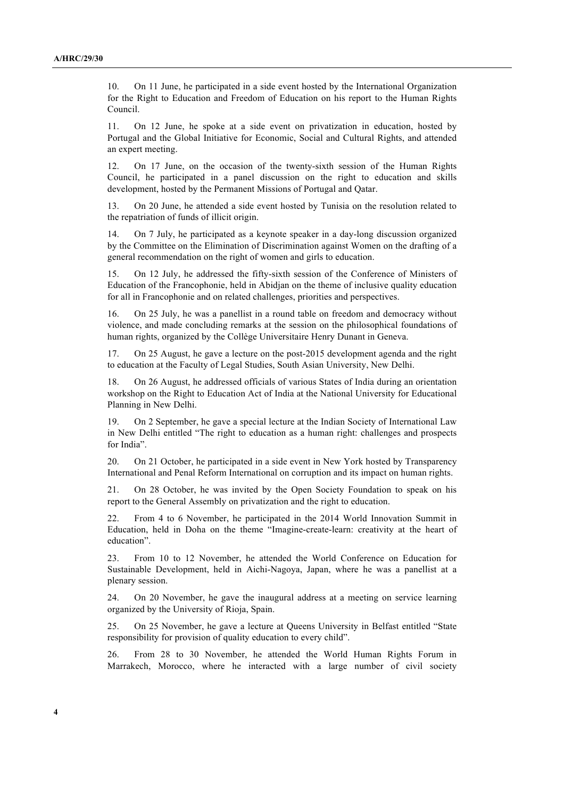10. On 11 June, he participated in a side event hosted by the International Organization for the Right to Education and Freedom of Education on his report to the Human Rights Council.

11. On 12 June, he spoke at a side event on privatization in education, hosted by Portugal and the Global Initiative for Economic, Social and Cultural Rights, and attended an expert meeting.

12. On 17 June, on the occasion of the twenty-sixth session of the Human Rights Council, he participated in a panel discussion on the right to education and skills development, hosted by the Permanent Missions of Portugal and Qatar.

13. On 20 June, he attended a side event hosted by Tunisia on the resolution related to the repatriation of funds of illicit origin.

14. On 7 July, he participated as a keynote speaker in a day-long discussion organized by the Committee on the Elimination of Discrimination against Women on the drafting of a general recommendation on the right of women and girls to education.

15. On 12 July, he addressed the fifty-sixth session of the Conference of Ministers of Education of the Francophonie, held in Abidjan on the theme of inclusive quality education for all in Francophonie and on related challenges, priorities and perspectives.

16. On 25 July, he was a panellist in a round table on freedom and democracy without violence, and made concluding remarks at the session on the philosophical foundations of human rights, organized by the Collège Universitaire Henry Dunant in Geneva.

17. On 25 August, he gave a lecture on the post-2015 development agenda and the right to education at the Faculty of Legal Studies, South Asian University, New Delhi.

18. On 26 August, he addressed officials of various States of India during an orientation workshop on the Right to Education Act of India at the National University for Educational Planning in New Delhi.

19. On 2 September, he gave a special lecture at the Indian Society of International Law in New Delhi entitled "The right to education as a human right: challenges and prospects for India".

20. On 21 October, he participated in a side event in New York hosted by Transparency International and Penal Reform International on corruption and its impact on human rights.

21. On 28 October, he was invited by the Open Society Foundation to speak on his report to the General Assembly on privatization and the right to education.

22. From 4 to 6 November, he participated in the 2014 World Innovation Summit in Education, held in Doha on the theme "Imagine-create-learn: creativity at the heart of education".

23. From 10 to 12 November, he attended the World Conference on Education for Sustainable Development, held in Aichi-Nagoya, Japan, where he was a panellist at a plenary session.

24. On 20 November, he gave the inaugural address at a meeting on service learning organized by the University of Rioja, Spain.

25. On 25 November, he gave a lecture at Queens University in Belfast entitled "State responsibility for provision of quality education to every child".

26. From 28 to 30 November, he attended the World Human Rights Forum in Marrakech, Morocco, where he interacted with a large number of civil society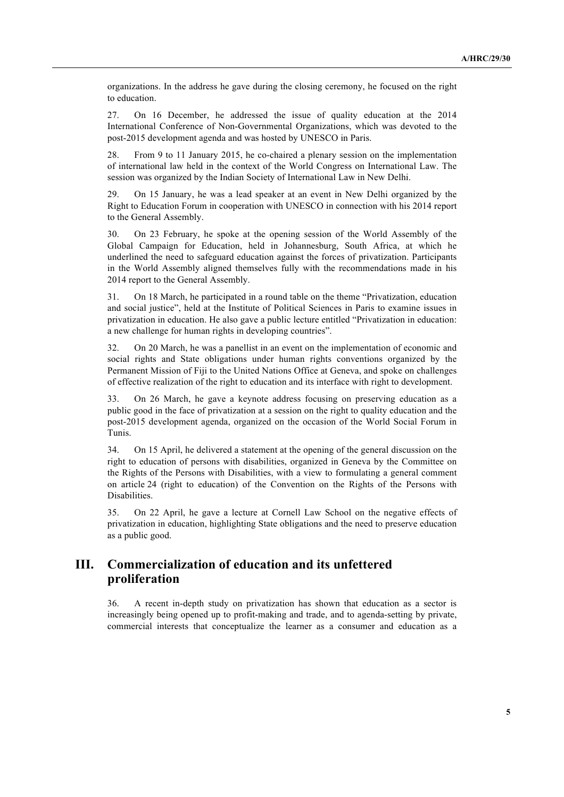organizations. In the address he gave during the closing ceremony, he focused on the right to education.

27. On 16 December, he addressed the issue of quality education at the 2014 International Conference of Non-Governmental Organizations, which was devoted to the post-2015 development agenda and was hosted by UNESCO in Paris.

28. From 9 to 11 January 2015, he co-chaired a plenary session on the implementation of international law held in the context of the World Congress on International Law. The session was organized by the Indian Society of International Law in New Delhi.

29. On 15 January, he was a lead speaker at an event in New Delhi organized by the Right to Education Forum in cooperation with UNESCO in connection with his 2014 report to the General Assembly.

30. On 23 February, he spoke at the opening session of the World Assembly of the Global Campaign for Education, held in Johannesburg, South Africa, at which he underlined the need to safeguard education against the forces of privatization. Participants in the World Assembly aligned themselves fully with the recommendations made in his 2014 report to the General Assembly.

31. On 18 March, he participated in a round table on the theme "Privatization, education and social justice", held at the Institute of Political Sciences in Paris to examine issues in privatization in education. He also gave a public lecture entitled "Privatization in education: a new challenge for human rights in developing countries".

32. On 20 March, he was a panellist in an event on the implementation of economic and social rights and State obligations under human rights conventions organized by the Permanent Mission of Fiji to the United Nations Office at Geneva, and spoke on challenges of effective realization of the right to education and its interface with right to development.

33. On 26 March, he gave a keynote address focusing on preserving education as a public good in the face of privatization at a session on the right to quality education and the post-2015 development agenda, organized on the occasion of the World Social Forum in Tunis.

34. On 15 April, he delivered a statement at the opening of the general discussion on the right to education of persons with disabilities, organized in Geneva by the Committee on the Rights of the Persons with Disabilities, with a view to formulating a general comment on article 24 (right to education) of the Convention on the Rights of the Persons with Disabilities.

35. On 22 April, he gave a lecture at Cornell Law School on the negative effects of privatization in education, highlighting State obligations and the need to preserve education as a public good.

# **III. Commercialization of education and its unfettered proliferation**

36. A recent in-depth study on privatization has shown that education as a sector is increasingly being opened up to profit-making and trade, and to agenda-setting by private, commercial interests that conceptualize the learner as a consumer and education as a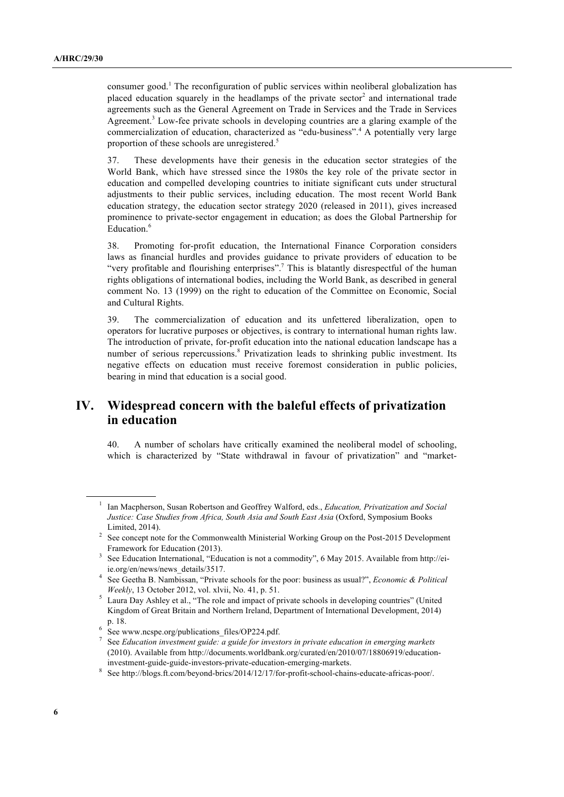consumer good.<sup>1</sup> The reconfiguration of public services within neoliberal globalization has placed education squarely in the headlamps of the private sector<sup>2</sup> and international trade agreements such as the General Agreement on Trade in Services and the Trade in Services Agreement. 3 Low-fee private schools in developing countries are a glaring example of the commercialization of education, characterized as "edu-business".<sup>4</sup> A potentially very large proportion of these schools are unregistered. 5

37. These developments have their genesis in the education sector strategies of the World Bank, which have stressed since the 1980s the key role of the private sector in education and compelled developing countries to initiate significant cuts under structural adjustments to their public services, including education. The most recent World Bank education strategy, the education sector strategy 2020 (released in 2011), gives increased prominence to private-sector engagement in education; as does the Global Partnership for Education. 6

38. Promoting for-profit education, the International Finance Corporation considers laws as financial hurdles and provides guidance to private providers of education to be "very profitable and flourishing enterprises".<sup>7</sup> This is blatantly disrespectful of the human rights obligations of international bodies, including the World Bank, as described in general comment No. 13 (1999) on the right to education of the Committee on Economic, Social and Cultural Rights.

39. The commercialization of education and its unfettered liberalization, open to operators for lucrative purposes or objectives, is contrary to international human rights law. The introduction of private, for-profit education into the national education landscape has a number of serious repercussions.<sup>8</sup> Privatization leads to shrinking public investment. Its negative effects on education must receive foremost consideration in public policies, bearing in mind that education is a social good.

# **IV. Widespread concern with the baleful effects of privatization in education**

40. A number of scholars have critically examined the neoliberal model of schooling, which is characterized by "State withdrawal in favour of privatization" and "market-

<sup>1</sup> Ian Macpherson, Susan Robertson and Geoffrey Walford, eds., *Education, Privatization and Social Justice: Case Studies from Africa, South Asia and South East Asia* (Oxford, Symposium Books Limited, 2014).

<sup>2</sup> See concept note for the Commonwealth Ministerial Working Group on the Post-2015 Development Framework for Education (2013).

See Education International, "Education is not a commodity", 6 May 2015. Available from http://eiie.org/en/news/news\_details/3517.

<sup>4</sup> See Geetha B. Nambissan, "Private schools for the poor: business as usual?", *Economic & Political Weekly*, 13 October 2012, vol. xlvii, No. 41, p. 51.

<sup>&</sup>lt;sup>5</sup> Laura Day Ashley et al., "The role and impact of private schools in developing countries" (United Kingdom of Great Britain and Northern Ireland, Department of International Development, 2014) p. 18.

<sup>6</sup> See www.ncspe.org/publications\_files/OP224.pdf.

<sup>7</sup> See *Education investment guide: a guide for investors in private education in emerging markets* (2010). Available from http://documents.worldbank.org/curated/en/2010/07/18806919/educationinvestment-guide-guide-investors-private-education-emerging-markets.

<sup>&</sup>lt;sup>8</sup> See http://blogs.ft.com/beyond-brics/2014/12/17/for-profit-school-chains-educate-africas-poor/.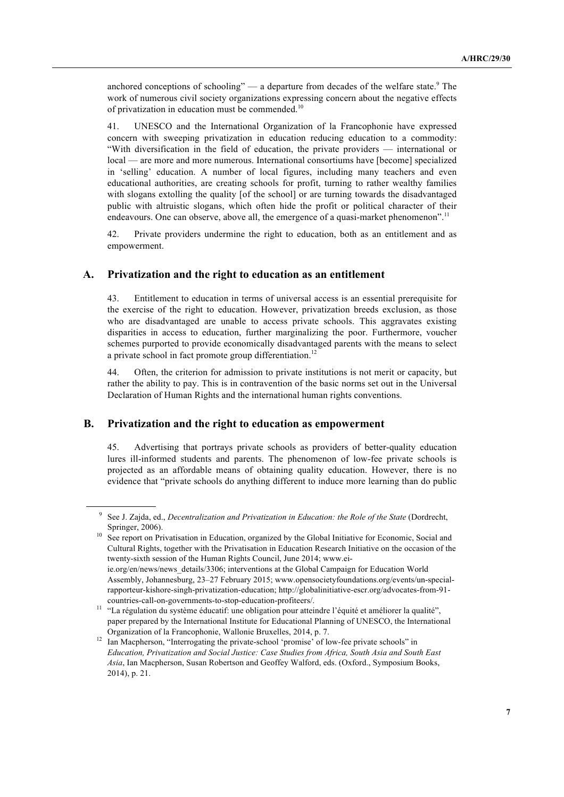anchored conceptions of schooling"  $-$  a departure from decades of the welfare state. $9$  The work of numerous civil society organizations expressing concern about the negative effects of privatization in education must be commended.<sup>10</sup>

41. UNESCO and the International Organization of la Francophonie have expressed concern with sweeping privatization in education reducing education to a commodity: "With diversification in the field of education, the private providers — international or local — are more and more numerous. International consortiums have [become] specialized in 'selling' education. A number of local figures, including many teachers and even educational authorities, are creating schools for profit, turning to rather wealthy families with slogans extolling the quality [of the school] or are turning towards the disadvantaged public with altruistic slogans, which often hide the profit or political character of their endeavours. One can observe, above all, the emergence of a quasi-market phenomenon".<sup>11</sup>

42. Private providers undermine the right to education, both as an entitlement and as empowerment.

#### **A. Privatization and the right to education as an entitlement**

43. Entitlement to education in terms of universal access is an essential prerequisite for the exercise of the right to education. However, privatization breeds exclusion, as those who are disadvantaged are unable to access private schools. This aggravates existing disparities in access to education, further marginalizing the poor. Furthermore, voucher schemes purported to provide economically disadvantaged parents with the means to select a private school in fact promote group differentiation.<sup>12</sup>

44. Often, the criterion for admission to private institutions is not merit or capacity, but rather the ability to pay. This is in contravention of the basic norms set out in the Universal Declaration of Human Rights and the international human rights conventions.

#### **B. Privatization and the right to education as empowerment**

45. Advertising that portrays private schools as providers of better-quality education lures ill-informed students and parents. The phenomenon of low-fee private schools is projected as an affordable means of obtaining quality education. However, there is no evidence that "private schools do anything different to induce more learning than do public

<sup>9</sup> See J. Zajda, ed., *Decentralization and Privatization in Education: the Role of the State* (Dordrecht, Springer, 2006).

<sup>&</sup>lt;sup>10</sup> See report on Privatisation in Education, organized by the Global Initiative for Economic, Social and Cultural Rights, together with the Privatisation in Education Research Initiative on the occasion of the twenty-sixth session of the Human Rights Council, June 2014; www.eiie.org/en/news/news\_details/3306; interventions at the Global Campaign for Education World Assembly, Johannesburg, 23–27 February 2015; www.opensocietyfoundations.org/events/un-specialrapporteur-kishore-singh-privatization-education; http://globalinitiative-escr.org/advocates-from-91 countries-call-on-governments-to-stop-education-profiteers/.

<sup>&</sup>lt;sup>11</sup> "La régulation du système éducatif: une obligation pour atteindre l'équité et améliorer la qualité", paper prepared by the International Institute for Educational Planning of UNESCO, the International Organization of la Francophonie, Wallonie Bruxelles, 2014, p. 7.

<sup>&</sup>lt;sup>12</sup> Ian Macpherson, "Interrogating the private-school 'promise' of low-fee private schools" in *Education, Privatization and Social Justice: Case Studies from Africa, South Asia and South East Asia*, Ian Macpherson, Susan Robertson and Geoffey Walford, eds. (Oxford., Symposium Books, 2014), p. 21.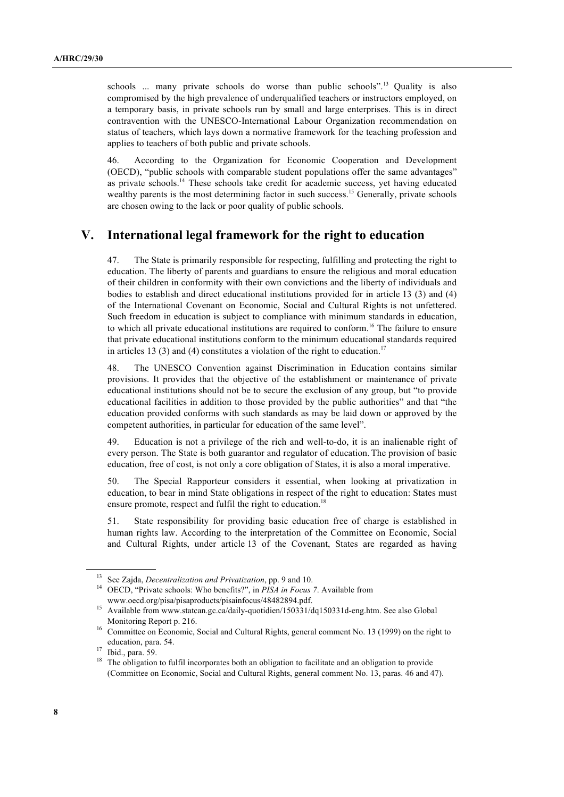schools ... many private schools do worse than public schools".<sup>13</sup> Quality is also compromised by the high prevalence of underqualified teachers or instructors employed, on a temporary basis, in private schools run by small and large enterprises. This is in direct contravention with the UNESCO-International Labour Organization recommendation on status of teachers, which lays down a normative framework for the teaching profession and applies to teachers of both public and private schools.

46. According to the Organization for Economic Cooperation and Development (OECD), "public schools with comparable student populations offer the same advantages" as private schools.<sup>14</sup> These schools take credit for academic success, yet having educated wealthy parents is the most determining factor in such success.<sup>15</sup> Generally, private schools are chosen owing to the lack or poor quality of public schools.

# **V. International legal framework for the right to education**

47. The State is primarily responsible for respecting, fulfilling and protecting the right to education. The liberty of parents and guardians to ensure the religious and moral education of their children in conformity with their own convictions and the liberty of individuals and bodies to establish and direct educational institutions provided for in article 13 (3) and (4) of the International Covenant on Economic, Social and Cultural Rights is not unfettered. Such freedom in education is subject to compliance with minimum standards in education, to which all private educational institutions are required to conform.<sup>16</sup> The failure to ensure that private educational institutions conform to the minimum educational standards required in articles 13 (3) and (4) constitutes a violation of the right to education.<sup>17</sup>

48. The UNESCO Convention against Discrimination in Education contains similar provisions. It provides that the objective of the establishment or maintenance of private educational institutions should not be to secure the exclusion of any group, but "to provide educational facilities in addition to those provided by the public authorities" and that "the education provided conforms with such standards as may be laid down or approved by the competent authorities, in particular for education of the same level".

49. Education is not a privilege of the rich and well-to-do, it is an inalienable right of every person. The State is both guarantor and regulator of education. The provision of basic education, free of cost, is not only a core obligation of States, it is also a moral imperative.

50. The Special Rapporteur considers it essential, when looking at privatization in education, to bear in mind State obligations in respect of the right to education: States must ensure promote, respect and fulfil the right to education.<sup>18</sup>

51. State responsibility for providing basic education free of charge is established in human rights law. According to the interpretation of the Committee on Economic, Social and Cultural Rights, under article 13 of the Covenant, States are regarded as having

<sup>13</sup> See Zajda, *Decentralization and Privatization*, pp. 9 and 10.

<sup>&</sup>lt;sup>14</sup> OECD, "Private schools: Who benefits?", in *PISA in Focus 7*. Available from www.oecd.org/pisa/pisaproducts/pisainfocus/48482894.pdf.

<sup>&</sup>lt;sup>15</sup> Available from www.statcan.gc.ca/daily-quotidien/150331/dq150331d-eng.htm. See also Global Monitoring Report p. 216.

<sup>&</sup>lt;sup>16</sup> Committee on Economic, Social and Cultural Rights, general comment No. 13 (1999) on the right to education, para. 54. 17 Ibid., para. 59. 18 The obligation to facilitate and an obligation to provide  $18$  The obligation to fulfil incorporates both an obligation to facilitate and an obligation to provide

<sup>(</sup>Committee on Economic, Social and Cultural Rights, general comment No. 13, paras. 46 and 47).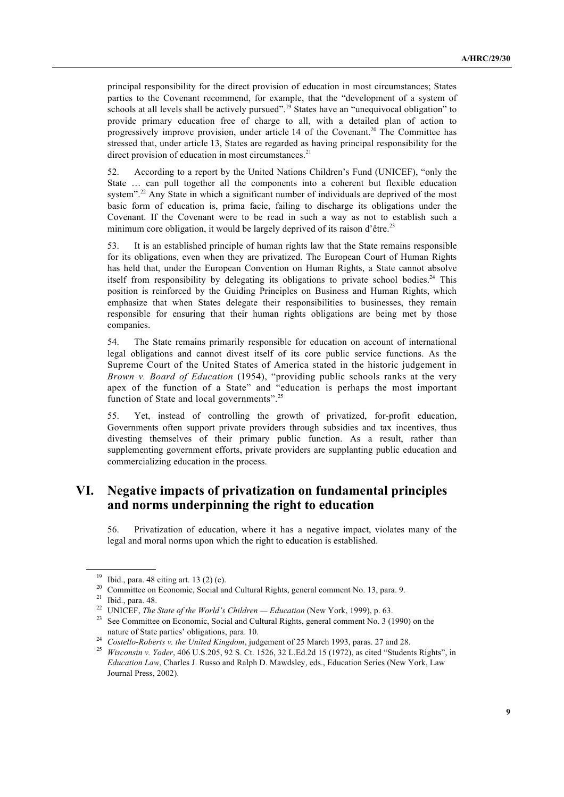principal responsibility for the direct provision of education in most circumstances; States parties to the Covenant recommend, for example, that the "development of a system of schools at all levels shall be actively pursued".<sup>19</sup> States have an "unequivocal obligation" to provide primary education free of charge to all, with a detailed plan of action to progressively improve provision, under article 14 of the Covenant.<sup>20</sup> The Committee has stressed that, under article 13, States are regarded as having principal responsibility for the direct provision of education in most circumstances.<sup>21</sup>

52. According to a report by the United Nations Children's Fund (UNICEF), "only the State … can pull together all the components into a coherent but flexible education system".<sup>22</sup> Any State in which a significant number of individuals are deprived of the most basic form of education is, prima facie, failing to discharge its obligations under the Covenant. If the Covenant were to be read in such a way as not to establish such a minimum core obligation, it would be largely deprived of its raison d'être.<sup>23</sup>

53. It is an established principle of human rights law that the State remains responsible for its obligations, even when they are privatized. The European Court of Human Rights has held that, under the European Convention on Human Rights, a State cannot absolve itself from responsibility by delegating its obligations to private school bodies. $24$  This position is reinforced by the Guiding Principles on Business and Human Rights, which emphasize that when States delegate their responsibilities to businesses, they remain responsible for ensuring that their human rights obligations are being met by those companies.

54. The State remains primarily responsible for education on account of international legal obligations and cannot divest itself of its core public service functions. As the Supreme Court of the United States of America stated in the historic judgement in *Brown v. Board of Education* (1954), "providing public schools ranks at the very apex of the function of a State" and "education is perhaps the most important function of State and local governments".<sup>25</sup>

55. Yet, instead of controlling the growth of privatized, for-profit education, Governments often support private providers through subsidies and tax incentives, thus divesting themselves of their primary public function. As a result, rather than supplementing government efforts, private providers are supplanting public education and commercializing education in the process.

# **VI. Negative impacts of privatization on fundamental principles and norms underpinning the right to education**

56. Privatization of education, where it has a negative impact, violates many of the legal and moral norms upon which the right to education is established.

<sup>&</sup>lt;sup>19</sup> Ibid., para. 48 citing art. 13 (2) (e).

<sup>&</sup>lt;sup>20</sup> Committee on Economic, Social and Cultural Rights, general comment No. 13, para. 9.

 $21$  Ibid., para. 48.

<sup>22</sup> UNICEF, *The State of the World's Children — Education* (New York, 1999), p. 63.

<sup>&</sup>lt;sup>23</sup> See Committee on Economic, Social and Cultural Rights, general comment No. 3 (1990) on the nature of State parties' obligations, para. 10.

<sup>&</sup>lt;sup>24</sup> *Costello-Roberts v. the United Kingdom*, judgement of 25 March 1993, paras. 27 and 28.

<sup>25</sup> *Wisconsin v. Yoder*, 406 U.S.205, 92 S. Ct. 1526, 32 L.Ed.2d 15 (1972), as cited "Students Rights", in *Education Law*, Charles J. Russo and Ralph D. Mawdsley, eds., Education Series (New York, Law Journal Press, 2002).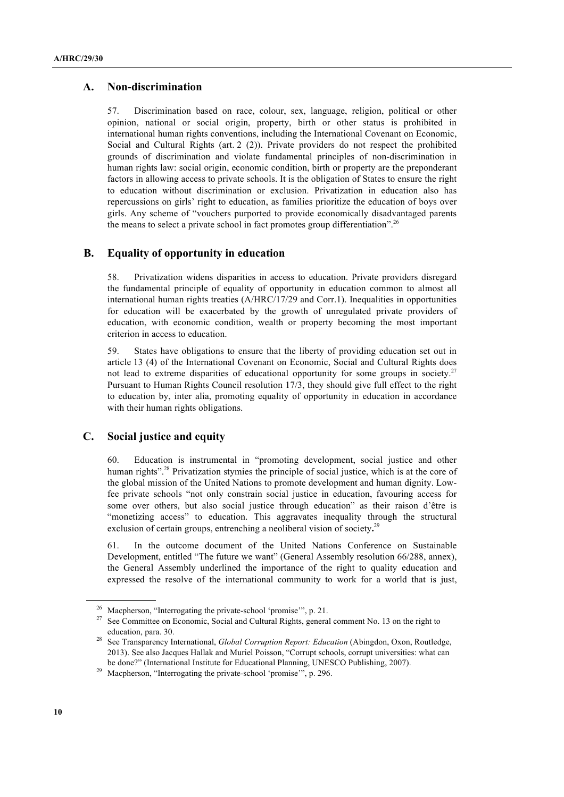#### **A. Non-discrimination**

57. Discrimination based on race, colour, sex, language, religion, political or other opinion, national or social origin, property, birth or other status is prohibited in international human rights conventions, including the International Covenant on Economic, Social and Cultural Rights (art. 2 (2)). Private providers do not respect the prohibited grounds of discrimination and violate fundamental principles of non-discrimination in human rights law: social origin, economic condition, birth or property are the preponderant factors in allowing access to private schools. It is the obligation of States to ensure the right to education without discrimination or exclusion. Privatization in education also has repercussions on girls' right to education, as families prioritize the education of boys over girls. Any scheme of "vouchers purported to provide economically disadvantaged parents the means to select a private school in fact promotes group differentiation".<sup>26</sup>

#### **B. Equality of opportunity in education**

58. Privatization widens disparities in access to education. Private providers disregard the fundamental principle of equality of opportunity in education common to almost all international human rights treaties (A/HRC/17/29 and Corr.1). Inequalities in opportunities for education will be exacerbated by the growth of unregulated private providers of education, with economic condition, wealth or property becoming the most important criterion in access to education.

59. States have obligations to ensure that the liberty of providing education set out in article 13 (4) of the International Covenant on Economic, Social and Cultural Rights does not lead to extreme disparities of educational opportunity for some groups in society.<sup>27</sup> Pursuant to Human Rights Council resolution 17/3, they should give full effect to the right to education by, inter alia, promoting equality of opportunity in education in accordance with their human rights obligations.

### **C. Social justice and equity**

60. Education is instrumental in "promoting development, social justice and other human rights".<sup>28</sup> Privatization stymies the principle of social justice, which is at the core of the global mission of the United Nations to promote development and human dignity. Lowfee private schools "not only constrain social justice in education, favouring access for some over others, but also social justice through education" as their raison d'être is "monetizing access" to education. This aggravates inequality through the structural exclusion of certain groups, entrenching a neoliberal vision of society**.** 29

61. In the outcome document of the United Nations Conference on Sustainable Development, entitled "The future we want" (General Assembly resolution 66/288, annex), the General Assembly underlined the importance of the right to quality education and expressed the resolve of the international community to work for a world that is just,

<sup>&</sup>lt;sup>26</sup> Macpherson, "Interrogating the private-school 'promise'", p. 21.<br><sup>27</sup> See Committee on Economic, Social and Cultural Rights, general comment No. 13 on the right to education, para. 30.

<sup>28</sup> See Transparency International, *Global Corruption Report: Education* (Abingdon, Oxon, Routledge, 2013). See also Jacques Hallak and Muriel Poisson, "Corrupt schools, corrupt universities: what can be done?" (International Institute for Educational Planning, UNESCO Publishing, 2007).

<sup>&</sup>lt;sup>29</sup> Macpherson, "Interrogating the private-school 'promise'", p. 296.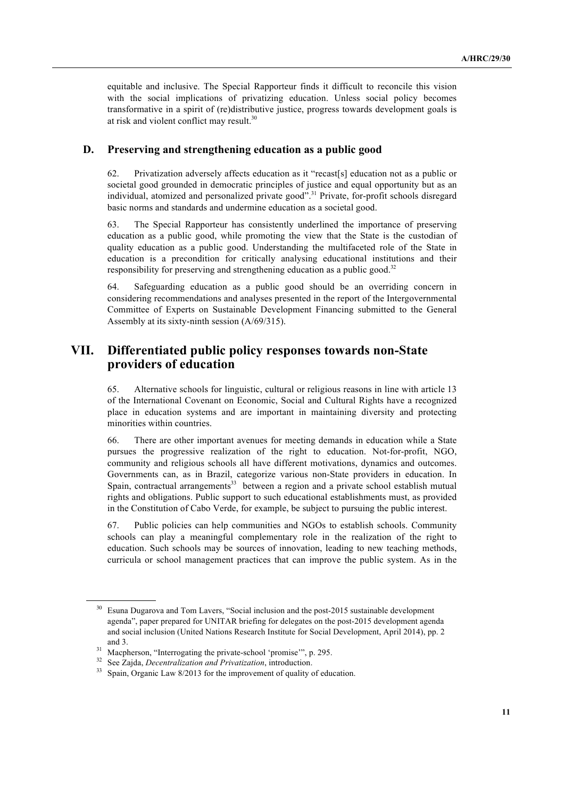equitable and inclusive. The Special Rapporteur finds it difficult to reconcile this vision with the social implications of privatizing education. Unless social policy becomes transformative in a spirit of (re)distributive justice, progress towards development goals is at risk and violent conflict may result.<sup>30</sup>

#### **D. Preserving and strengthening education as a public good**

62. Privatization adversely affects education as it "recast[s] education not as a public or societal good grounded in democratic principles of justice and equal opportunity but as an individual, atomized and personalized private good".<sup>31</sup> Private, for-profit schools disregard basic norms and standards and undermine education as a societal good.

63. The Special Rapporteur has consistently underlined the importance of preserving education as a public good, while promoting the view that the State is the custodian of quality education as a public good. Understanding the multifaceted role of the State in education is a precondition for critically analysing educational institutions and their responsibility for preserving and strengthening education as a public good.<sup>32</sup>

64. Safeguarding education as a public good should be an overriding concern in considering recommendations and analyses presented in the report of the Intergovernmental Committee of Experts on Sustainable Development Financing submitted to the General Assembly at its sixty-ninth session (A/69/315).

# **VII. Differentiated public policy responses towards non-State providers of education**

65. Alternative schools for linguistic, cultural or religious reasons in line with article 13 of the International Covenant on Economic, Social and Cultural Rights have a recognized place in education systems and are important in maintaining diversity and protecting minorities within countries.

66. There are other important avenues for meeting demands in education while a State pursues the progressive realization of the right to education. Not-for-profit, NGO, community and religious schools all have different motivations, dynamics and outcomes. Governments can, as in Brazil, categorize various non-State providers in education. In Spain, contractual arrangements<sup>33</sup> between a region and a private school establish mutual rights and obligations. Public support to such educational establishments must, as provided in the Constitution of Cabo Verde, for example, be subject to pursuing the public interest.

67. Public policies can help communities and NGOs to establish schools. Community schools can play a meaningful complementary role in the realization of the right to education. Such schools may be sources of innovation, leading to new teaching methods, curricula or school management practices that can improve the public system. As in the

<sup>&</sup>lt;sup>30</sup> Esuna Dugarova and Tom Lavers, "Social inclusion and the post-2015 sustainable development agenda", paper prepared for UNITAR briefing for delegates on the post-2015 development agenda and social inclusion (United Nations Research Institute for Social Development, April 2014), pp. 2 and 3.

<sup>&</sup>lt;sup>31</sup> Macpherson, "Interrogating the private-school 'promise'", p. 295.

<sup>32</sup> See Zajda, *Decentralization and Privatization*, introduction.

Spain, Organic Law 8/2013 for the improvement of quality of education.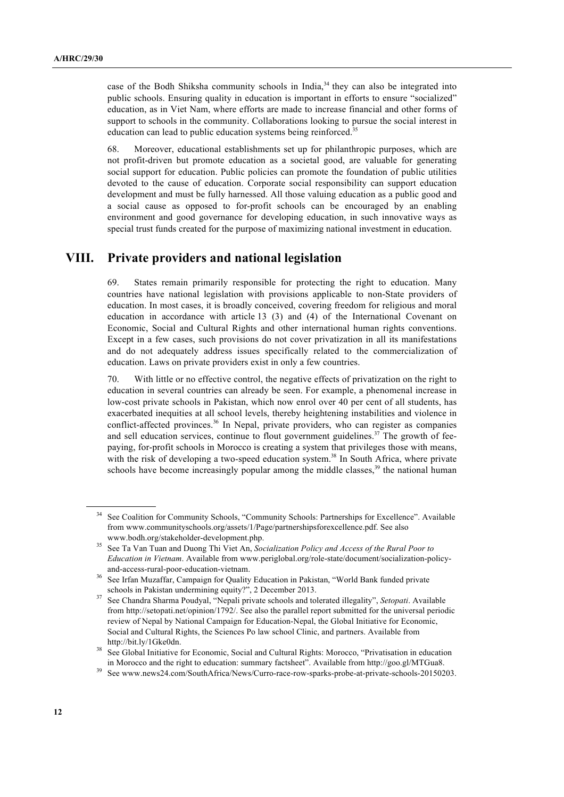case of the Bodh Shiksha community schools in India, $34$  they can also be integrated into public schools. Ensuring quality in education is important in efforts to ensure "socialized" education, as in Viet Nam, where efforts are made to increase financial and other forms of support to schools in the community. Collaborations looking to pursue the social interest in education can lead to public education systems being reinforced.<sup>35</sup>

68. Moreover, educational establishments set up for philanthropic purposes, which are not profit-driven but promote education as a societal good, are valuable for generating social support for education. Public policies can promote the foundation of public utilities devoted to the cause of education. Corporate social responsibility can support education development and must be fully harnessed. All those valuing education as a public good and a social cause as opposed to for-profit schools can be encouraged by an enabling environment and good governance for developing education, in such innovative ways as special trust funds created for the purpose of maximizing national investment in education.

## **VIII. Private providers and national legislation**

69. States remain primarily responsible for protecting the right to education. Many countries have national legislation with provisions applicable to non-State providers of education. In most cases, it is broadly conceived, covering freedom for religious and moral education in accordance with article 13 (3) and (4) of the International Covenant on Economic, Social and Cultural Rights and other international human rights conventions. Except in a few cases, such provisions do not cover privatization in all its manifestations and do not adequately address issues specifically related to the commercialization of education. Laws on private providers exist in only a few countries.

70. With little or no effective control, the negative effects of privatization on the right to education in several countries can already be seen. For example, a phenomenal increase in low-cost private schools in Pakistan, which now enrol over 40 per cent of all students, has exacerbated inequities at all school levels, thereby heightening instabilities and violence in conflict-affected provinces.<sup>36</sup> In Nepal, private providers, who can register as companies and sell education services, continue to flout government guidelines.<sup>37</sup> The growth of feepaying, for-profit schools in Morocco is creating a system that privileges those with means, with the risk of developing a two-speed education system.<sup>38</sup> In South Africa, where private schools have become increasingly popular among the middle classes, $39$  the national human

See Coalition for Community Schools, "Community Schools: Partnerships for Excellence". Available from www.communityschools.org/assets/1/Page/partnershipsforexcellence.pdf. See also www.bodh.org/stakeholder-development.php.

<sup>35</sup> See Ta Van Tuan and Duong Thi Viet An, *Socialization Policy and Access of the Rural Poor to Education in Vietnam*. Available from www.periglobal.org/role-state/document/socialization-policyand-access-rural-poor-education-vietnam.

<sup>36</sup> See Irfan Muzaffar, Campaign for Quality Education in Pakistan, "World Bank funded private schools in Pakistan undermining equity?", 2 December 2013. 37 See Chandra Sharma Poudyal, "Nepali private schools and tolerated illegality", *Setopati*. Available

from http://setopati.net/opinion/1792/. See also the parallel report submitted for the universal periodic review of Nepal by National Campaign for Education-Nepal, the Global Initiative for Economic, Social and Cultural Rights, the Sciences Po law school Clinic, and partners. Available from http://bit.ly/1Gke0dn.<br><sup>38</sup> See Global Initiative for Economic, Social and Cultural Rights: Morocco, "Privatisation in education

in Morocco and the right to education: summary factsheet". Available from http://goo.gl/MTGua8.

<sup>39</sup> See www.news24.com/SouthAfrica/News/Curro-race-row-sparks-probe-at-private-schools-20150203.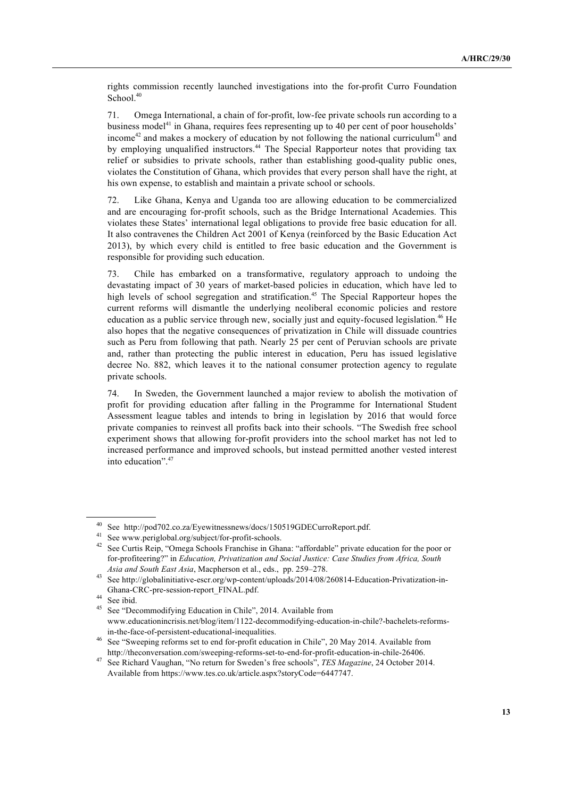rights commission recently launched investigations into the for-profit Curro Foundation School.<sup>40</sup>

71. Omega International, a chain of for-profit, low-fee private schools run according to a business model<sup>41</sup> in Ghana, requires fees representing up to 40 per cent of poor households' income<sup>42</sup> and makes a mockery of education by not following the national curriculum<sup>43</sup> and by employing unqualified instructors.<sup>44</sup> The Special Rapporteur notes that providing tax relief or subsidies to private schools, rather than establishing good-quality public ones, violates the Constitution of Ghana, which provides that every person shall have the right, at his own expense, to establish and maintain a private school or schools.

72. Like Ghana, Kenya and Uganda too are allowing education to be commercialized and are encouraging for-profit schools, such as the Bridge International Academies. This violates these States' international legal obligations to provide free basic education for all. It also contravenes the Children Act 2001 of Kenya (reinforced by the Basic Education Act 2013), by which every child is entitled to free basic education and the Government is responsible for providing such education.

73. Chile has embarked on a transformative, regulatory approach to undoing the devastating impact of 30 years of market-based policies in education, which have led to high levels of school segregation and stratification.<sup>45</sup> The Special Rapporteur hopes the current reforms will dismantle the underlying neoliberal economic policies and restore education as a public service through new, socially just and equity-focused legislation.<sup>46</sup> He also hopes that the negative consequences of privatization in Chile will dissuade countries such as Peru from following that path. Nearly 25 per cent of Peruvian schools are private and, rather than protecting the public interest in education, Peru has issued legislative decree No. 882, which leaves it to the national consumer protection agency to regulate private schools.

74. In Sweden, the Government launched a major review to abolish the motivation of profit for providing education after falling in the Programme for International Student Assessment league tables and intends to bring in legislation by 2016 that would force private companies to reinvest all profits back into their schools. "The Swedish free school experiment shows that allowing for-profit providers into the school market has not led to increased performance and improved schools, but instead permitted another vested interest into education". 47

<sup>40</sup> See http://pod702.co.za/Eyewitnessnews/docs/150519GDECurroReport.pdf.

<sup>&</sup>lt;sup>41</sup> See www.periglobal.org/subject/for-profit-schools.<br><sup>42</sup> See Gurtia Rain "Omage Schools Franchise in Cha

See Curtis Reip, "Omega Schools Franchise in Ghana: "affordable" private education for the poor or for-profiteering?" in *Education, Privatization and Social Justice: Case Studies from Africa, South Asia and South East Asia*, Macpherson et al., eds., pp. 259–278.

See http://globalinitiative-escr.org/wp-content/uploads/2014/08/260814-Education-Privatization-in-Ghana-CRC-pre-session-report\_FINAL.pdf.

 $^{44}$  See ibid.

See "Decommodifying Education in Chile", 2014. Available from www.educationincrisis.net/blog/item/1122-decommodifying-education-in-chile?-bachelets-reformsin-the-face-of-persistent-educational-inequalities.

<sup>46</sup> See "Sweeping reforms set to end for-profit education in Chile", 20 May 2014. Available from http://theconversation.com/sweeping-reforms-set-to-end-for-profit-education-in-chile-26406.

<sup>47</sup> See Richard Vaughan, "No return for Sweden's free schools", *TES Magazine*, 24 October 2014. Available from https://www.tes.co.uk/article.aspx?storyCode=6447747.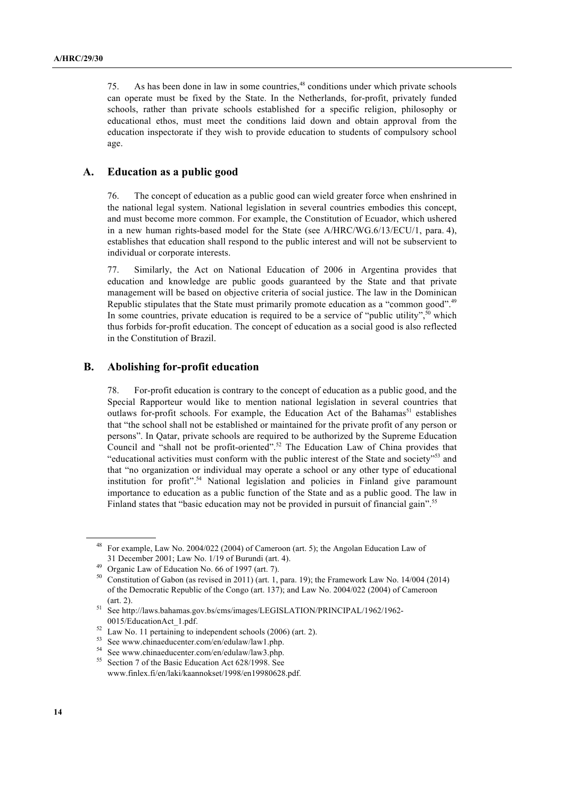75. As has been done in law in some countries, 48 conditions under which private schools can operate must be fixed by the State. In the Netherlands, for-profit, privately funded schools, rather than private schools established for a specific religion, philosophy or educational ethos, must meet the conditions laid down and obtain approval from the education inspectorate if they wish to provide education to students of compulsory school age.

#### **A. Education as a public good**

76. The concept of education as a public good can wield greater force when enshrined in the national legal system. National legislation in several countries embodies this concept, and must become more common. For example, the Constitution of Ecuador, which ushered in a new human rights-based model for the State (see A/HRC/WG.6/13/ECU/1, para. 4), establishes that education shall respond to the public interest and will not be subservient to individual or corporate interests.

77. Similarly, the Act on National Education of 2006 in Argentina provides that education and knowledge are public goods guaranteed by the State and that private management will be based on objective criteria of social justice. The law in the Dominican Republic stipulates that the State must primarily promote education as a "common good".<sup>49</sup> In some countries, private education is required to be a service of "public utility",  $50$  which thus forbids for-profit education. The concept of education as a social good is also reflected in the Constitution of Brazil.

#### **B. Abolishing for-profit education**

78. For-profit education is contrary to the concept of education as a public good, and the Special Rapporteur would like to mention national legislation in several countries that outlaws for-profit schools. For example, the Education Act of the Bahamas<sup>51</sup> establishes that "the school shall not be established or maintained for the private profit of any person or persons". In Qatar, private schools are required to be authorized by the Supreme Education Council and "shall not be profit-oriented". <sup>52</sup> The Education Law of China provides that "educational activities must conform with the public interest of the State and society"53 and that "no organization or individual may operate a school or any other type of educational institution for profit". <sup>54</sup> National legislation and policies in Finland give paramount importance to education as a public function of the State and as a public good. The law in Finland states that "basic education may not be provided in pursuit of financial gain".<sup>55</sup>

<sup>48</sup> For example, Law No. 2004/022 (2004) of Cameroon (art. 5); the Angolan Education Law of 31 December 2001; Law No. 1/19 of Burundi (art. 4).

Organic Law of Education No. 66 of 1997 (art. 7).

<sup>50</sup> Constitution of Gabon (as revised in 2011) (art. 1, para. 19); the Framework Law No. 14/004 (2014) of the Democratic Republic of the Congo (art. 137); and Law No. 2004/022 (2004) of Cameroon (art. 2).

<sup>51</sup> See http://laws.bahamas.gov.bs/cms/images/LEGISLATION/PRINCIPAL/1962/1962- 0015/EducationAct\_1.pdf.

<sup>&</sup>lt;sup>52</sup> Law No. 11 pertaining to independent schools (2006) (art. 2).

See www.chinaeducenter.com/en/edulaw/law1.php.

<sup>&</sup>lt;sup>54</sup> See www.chinaeducenter.com/en/edulaw/law3.php.<br> $\frac{55}{25}$  Section 3. 6th point February 4.4 (29/1009.5).

Section 7 of the Basic Education Act 628/1998. See www.finlex.fi/en/laki/kaannokset/1998/en19980628.pdf.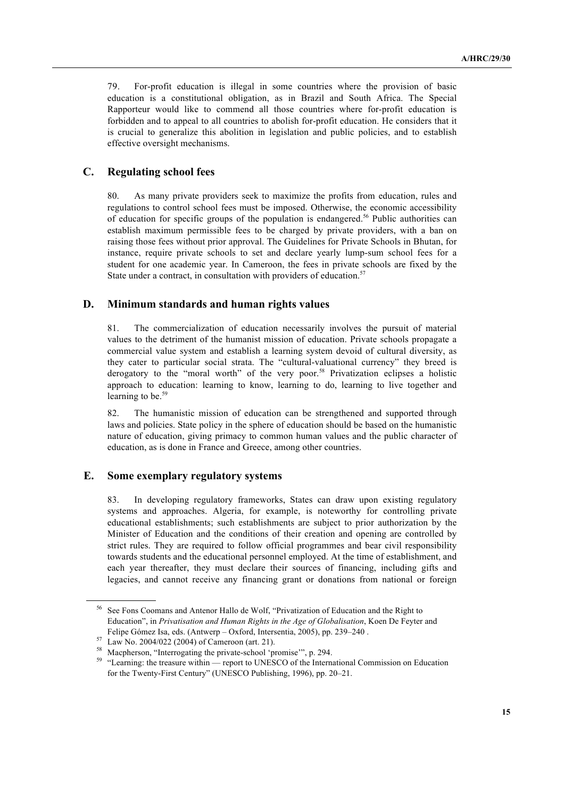79. For-profit education is illegal in some countries where the provision of basic education is a constitutional obligation, as in Brazil and South Africa. The Special Rapporteur would like to commend all those countries where for-profit education is forbidden and to appeal to all countries to abolish for-profit education. He considers that it is crucial to generalize this abolition in legislation and public policies, and to establish effective oversight mechanisms.

#### **C. Regulating school fees**

80. As many private providers seek to maximize the profits from education, rules and regulations to control school fees must be imposed. Otherwise, the economic accessibility of education for specific groups of the population is endangered.<sup>56</sup> Public authorities can establish maximum permissible fees to be charged by private providers, with a ban on raising those fees without prior approval. The Guidelines for Private Schools in Bhutan, for instance, require private schools to set and declare yearly lump-sum school fees for a student for one academic year. In Cameroon, the fees in private schools are fixed by the State under a contract, in consultation with providers of education.<sup>57</sup>

#### **D. Minimum standards and human rights values**

81. The commercialization of education necessarily involves the pursuit of material values to the detriment of the humanist mission of education. Private schools propagate a commercial value system and establish a learning system devoid of cultural diversity, as they cater to particular social strata. The "cultural-valuational currency" they breed is derogatory to the "moral worth" of the very poor.<sup>58</sup> Privatization eclipses a holistic approach to education: learning to know, learning to do, learning to live together and learning to be. $59$ 

82. The humanistic mission of education can be strengthened and supported through laws and policies. State policy in the sphere of education should be based on the humanistic nature of education, giving primacy to common human values and the public character of education, as is done in France and Greece, among other countries.

#### **E. Some exemplary regulatory systems**

83. In developing regulatory frameworks, States can draw upon existing regulatory systems and approaches. Algeria, for example, is noteworthy for controlling private educational establishments; such establishments are subject to prior authorization by the Minister of Education and the conditions of their creation and opening are controlled by strict rules. They are required to follow official programmes and bear civil responsibility towards students and the educational personnel employed. At the time of establishment, and each year thereafter, they must declare their sources of financing, including gifts and legacies, and cannot receive any financing grant or donations from national or foreign

<sup>56</sup> See Fons Coomans and Antenor Hallo de Wolf, "Privatization of Education and the Right to Education", in *Privatisation and Human Rights in the Age of Globalisation*, Koen De Feyter and Felipe Gómez Isa, eds. (Antwerp – Oxford, Intersentia, 2005), pp. 239–240 .

<sup>57</sup> Law No. 2004/022 (2004) of Cameroon (art. 21).

<sup>58</sup> Macpherson, "Interrogating the private-school 'promise'", p. 294.

<sup>&</sup>lt;sup>59</sup> "Learning: the treasure within — report to UNESCO of the International Commission on Education for the Twenty-First Century" (UNESCO Publishing, 1996), pp. 20–21.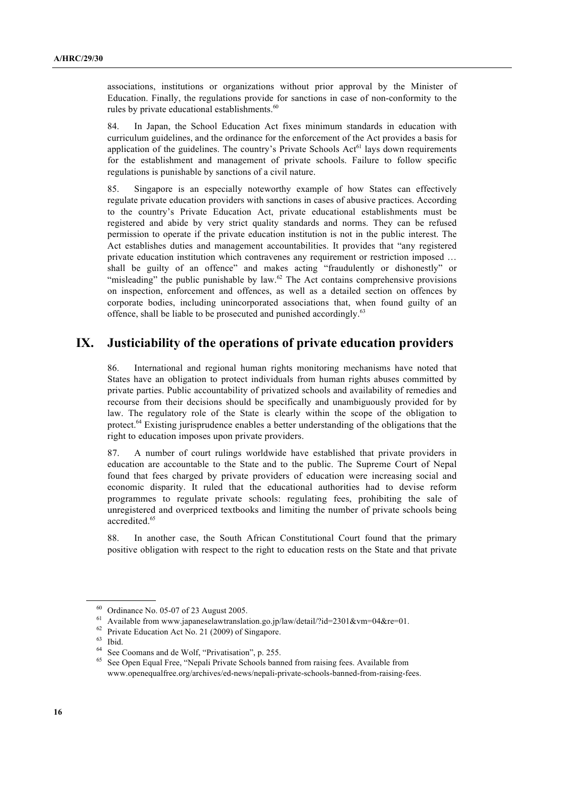associations, institutions or organizations without prior approval by the Minister of Education. Finally, the regulations provide for sanctions in case of non-conformity to the rules by private educational establishments.<sup>60</sup>

84. In Japan, the School Education Act fixes minimum standards in education with curriculum guidelines, and the ordinance for the enforcement of the Act provides a basis for application of the guidelines. The country's Private Schools  $Act<sup>61</sup>$  lays down requirements for the establishment and management of private schools. Failure to follow specific regulations is punishable by sanctions of a civil nature.

85. Singapore is an especially noteworthy example of how States can effectively regulate private education providers with sanctions in cases of abusive practices. According to the country's Private Education Act, private educational establishments must be registered and abide by very strict quality standards and norms. They can be refused permission to operate if the private education institution is not in the public interest. The Act establishes duties and management accountabilities. It provides that "any registered private education institution which contravenes any requirement or restriction imposed … shall be guilty of an offence" and makes acting "fraudulently or dishonestly" or "misleading" the public punishable by law. $62$  The Act contains comprehensive provisions on inspection, enforcement and offences, as well as a detailed section on offences by corporate bodies, including unincorporated associations that, when found guilty of an offence, shall be liable to be prosecuted and punished accordingly.<sup>63</sup>

# **IX. Justiciability of the operations of private education providers**

86. International and regional human rights monitoring mechanisms have noted that States have an obligation to protect individuals from human rights abuses committed by private parties. Public accountability of privatized schools and availability of remedies and recourse from their decisions should be specifically and unambiguously provided for by law. The regulatory role of the State is clearly within the scope of the obligation to protect.64 Existing jurisprudence enables a better understanding of the obligations that the right to education imposes upon private providers.

87. A number of court rulings worldwide have established that private providers in education are accountable to the State and to the public. The Supreme Court of Nepal found that fees charged by private providers of education were increasing social and economic disparity. It ruled that the educational authorities had to devise reform programmes to regulate private schools: regulating fees, prohibiting the sale of unregistered and overpriced textbooks and limiting the number of private schools being accredited. 65

88. In another case, the South African Constitutional Court found that the primary positive obligation with respect to the right to education rests on the State and that private

<sup>62</sup> Private Education Act No. 21 (2009) of Singapore.

Ordinance No. 05-07 of 23 August 2005.

<sup>61</sup> Available from www.japaneselawtranslation.go.jp/law/detail/?id=2301&vm=04&re=01.

<sup>63</sup> Ibid.

 $^{64}$  See Coomans and de Wolf, "Privatisation", p. 255.

<sup>65</sup> See Open Equal Free, "Nepali Private Schools banned from raising fees. Available from www.openequalfree.org/archives/ed-news/nepali-private-schools-banned-from-raising-fees.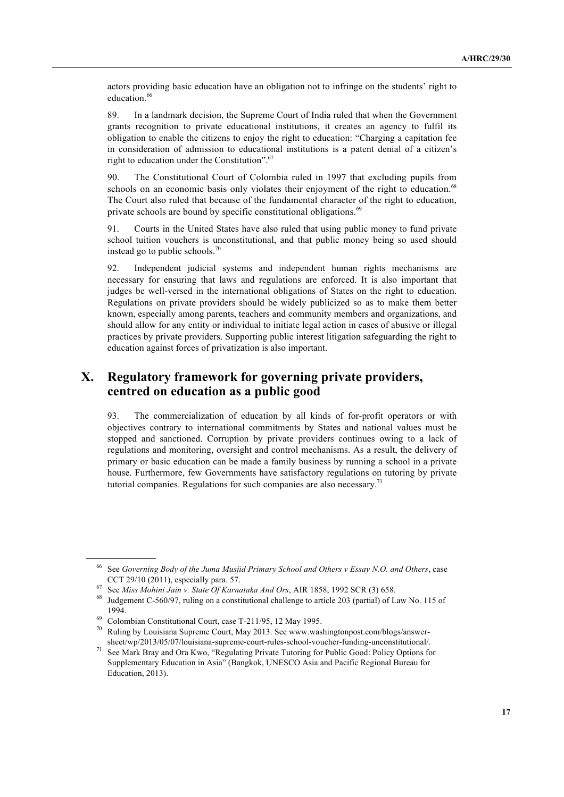actors providing basic education have an obligation not to infringe on the students' right to education.<sup>66</sup>

89. In a landmark decision, the Supreme Court of India ruled that when the Government grants recognition to private educational institutions, it creates an agency to fulfil its obligation to enable the citizens to enjoy the right to education: "Charging a capitation fee in consideration of admission to educational institutions is a patent denial of a citizen's right to education under the Constitution". 67

90. The Constitutional Court of Colombia ruled in 1997 that excluding pupils from schools on an economic basis only violates their enjoyment of the right to education.<sup>68</sup> The Court also ruled that because of the fundamental character of the right to education, private schools are bound by specific constitutional obligations. $69$ 

91. Courts in the United States have also ruled that using public money to fund private school tuition vouchers is unconstitutional, and that public money being so used should instead go to public schools.<sup>70</sup>

92. Independent judicial systems and independent human rights mechanisms are necessary for ensuring that laws and regulations are enforced. It is also important that judges be well-versed in the international obligations of States on the right to education. Regulations on private providers should be widely publicized so as to make them better known, especially among parents, teachers and community members and organizations, and should allow for any entity or individual to initiate legal action in cases of abusive or illegal practices by private providers. Supporting public interest litigation safeguarding the right to education against forces of privatization is also important.

# **X. Regulatory framework for governing private providers, centred on education as a public good**

93. The commercialization of education by all kinds of for-profit operators or with objectives contrary to international commitments by States and national values must be stopped and sanctioned. Corruption by private providers continues owing to a lack of regulations and monitoring, oversight and control mechanisms. As a result, the delivery of primary or basic education can be made a family business by running a school in a private house. Furthermore, few Governments have satisfactory regulations on tutoring by private tutorial companies. Regulations for such companies are also necessary.<sup>71</sup>

<sup>66</sup> See *Governing Body of the Juma Musjid Primary School and Others v Essay N.O. and Others*, case CCT 29/10 (2011), especially para. 57.

<sup>67</sup> See *Miss Mohini Jain v. State Of Karnataka And Ors*, AIR 1858, 1992 SCR (3) 658.

<sup>68</sup> Judgement C-560/97, ruling on a constitutional challenge to article 203 (partial) of Law No. 115 of 1994.

<sup>69</sup> Colombian Constitutional Court, case T-211/95, 12 May 1995.

 $70$  Ruling by Louisiana Supreme Court, May 2013. See www.washingtonpost.com/blogs/answersheet/wp/2013/05/07/louisiana-supreme-court-rules-school-voucher-funding-unconstitutional/.

<sup>71</sup> See Mark Bray and Ora Kwo, "Regulating Private Tutoring for Public Good: Policy Options for Supplementary Education in Asia" (Bangkok, UNESCO Asia and Pacific Regional Bureau for Education, 2013).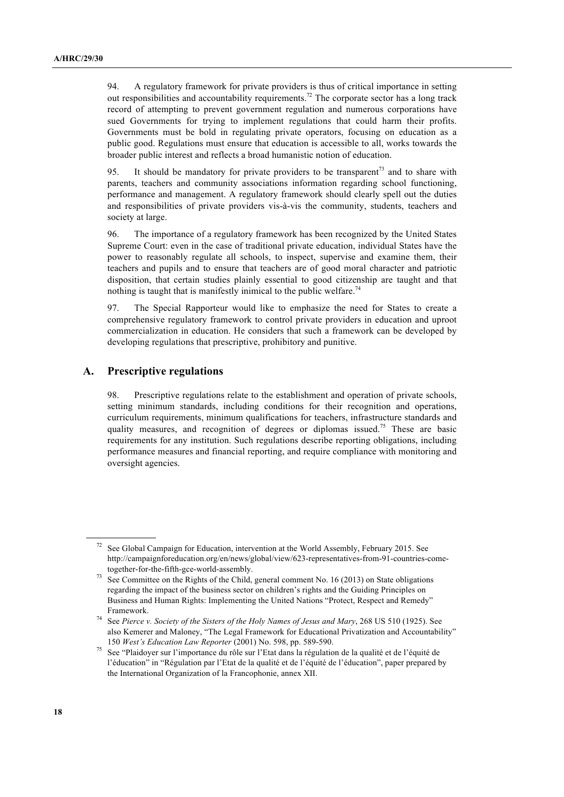94. A regulatory framework for private providers is thus of critical importance in setting out responsibilities and accountability requirements.<sup>72</sup> The corporate sector has a long track record of attempting to prevent government regulation and numerous corporations have sued Governments for trying to implement regulations that could harm their profits. Governments must be bold in regulating private operators, focusing on education as a public good. Regulations must ensure that education is accessible to all, works towards the broader public interest and reflects a broad humanistic notion of education.

95. It should be mandatory for private providers to be transparent<sup>73</sup> and to share with parents, teachers and community associations information regarding school functioning, performance and management. A regulatory framework should clearly spell out the duties and responsibilities of private providers vis-à-vis the community, students, teachers and society at large.

96. The importance of a regulatory framework has been recognized by the United States Supreme Court: even in the case of traditional private education, individual States have the power to reasonably regulate all schools, to inspect, supervise and examine them, their teachers and pupils and to ensure that teachers are of good moral character and patriotic disposition, that certain studies plainly essential to good citizenship are taught and that nothing is taught that is manifestly inimical to the public welfare.<sup>74</sup>

97. The Special Rapporteur would like to emphasize the need for States to create a comprehensive regulatory framework to control private providers in education and uproot commercialization in education. He considers that such a framework can be developed by developing regulations that prescriptive, prohibitory and punitive.

#### **A. Prescriptive regulations**

98. Prescriptive regulations relate to the establishment and operation of private schools, setting minimum standards, including conditions for their recognition and operations, curriculum requirements, minimum qualifications for teachers, infrastructure standards and quality measures, and recognition of degrees or diplomas issued.<sup>75</sup> These are basic requirements for any institution. Such regulations describe reporting obligations, including performance measures and financial reporting, and require compliance with monitoring and oversight agencies.

See Global Campaign for Education, intervention at the World Assembly, February 2015. See http://campaignforeducation.org/en/news/global/view/623-representatives-from-91-countries-cometogether-for-the-fifth-gce-world-assembly.

See Committee on the Rights of the Child, general comment No. 16 (2013) on State obligations regarding the impact of the business sector on children's rights and the Guiding Principles on Business and Human Rights: Implementing the United Nations "Protect, Respect and Remedy" Framework.

<sup>74</sup> See *Pierce v. Society of the Sisters of the Holy Names of Jesus and Mary*, 268 US 510 (1925). See also Kemerer and Maloney, "The Legal Framework for Educational Privatization and Accountability" 150 *West's Education Law Reporter* (2001) No. 598, pp. 589-590.

<sup>75</sup> See "Plaidoyer sur l'importance du rôle sur l'Etat dans la régulation de la qualité et de l'équité de l'éducation" in "Régulation par l'Etat de la qualité et de l'équité de l'éducation", paper prepared by the International Organization of la Francophonie, annex XII.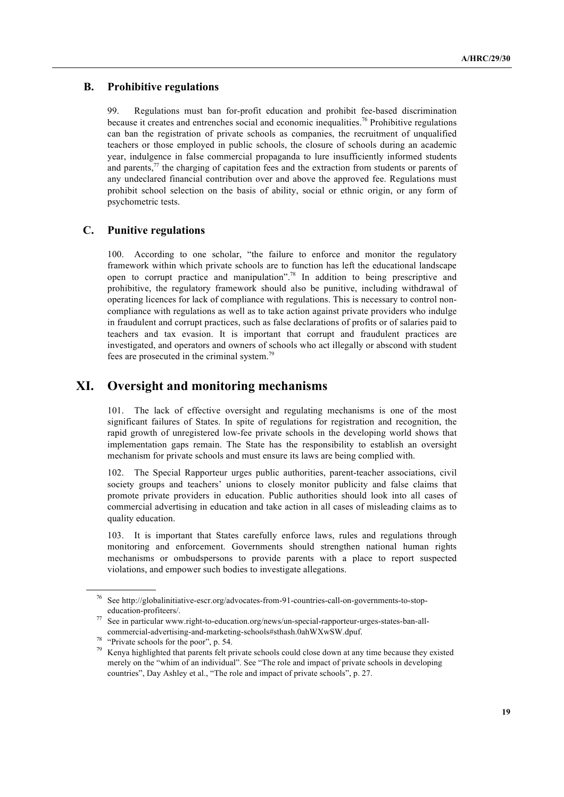#### **B. Prohibitive regulations**

99. Regulations must ban for-profit education and prohibit fee-based discrimination because it creates and entrenches social and economic inequalities.<sup>76</sup> Prohibitive regulations can ban the registration of private schools as companies, the recruitment of unqualified teachers or those employed in public schools, the closure of schools during an academic year, indulgence in false commercial propaganda to lure insufficiently informed students and parents,<sup>77</sup> the charging of capitation fees and the extraction from students or parents of any undeclared financial contribution over and above the approved fee. Regulations must prohibit school selection on the basis of ability, social or ethnic origin, or any form of psychometric tests.

#### **C. Punitive regulations**

100. According to one scholar, "the failure to enforce and monitor the regulatory framework within which private schools are to function has left the educational landscape open to corrupt practice and manipulation". <sup>78</sup> In addition to being prescriptive and prohibitive, the regulatory framework should also be punitive, including withdrawal of operating licences for lack of compliance with regulations. This is necessary to control noncompliance with regulations as well as to take action against private providers who indulge in fraudulent and corrupt practices, such as false declarations of profits or of salaries paid to teachers and tax evasion. It is important that corrupt and fraudulent practices are investigated, and operators and owners of schools who act illegally or abscond with student fees are prosecuted in the criminal system.79

# **XI. Oversight and monitoring mechanisms**

101. The lack of effective oversight and regulating mechanisms is one of the most significant failures of States. In spite of regulations for registration and recognition, the rapid growth of unregistered low-fee private schools in the developing world shows that implementation gaps remain. The State has the responsibility to establish an oversight mechanism for private schools and must ensure its laws are being complied with.

102. The Special Rapporteur urges public authorities, parent-teacher associations, civil society groups and teachers' unions to closely monitor publicity and false claims that promote private providers in education. Public authorities should look into all cases of commercial advertising in education and take action in all cases of misleading claims as to quality education.

103. It is important that States carefully enforce laws, rules and regulations through monitoring and enforcement. Governments should strengthen national human rights mechanisms or ombudspersons to provide parents with a place to report suspected violations, and empower such bodies to investigate allegations.

<sup>76</sup> See http://globalinitiative-escr.org/advocates-from-91-countries-call-on-governments-to-stopeducation-profiteers/.

<sup>77</sup> See in particular www.right-to-education.org/news/un-special-rapporteur-urges-states-ban-allcommercial-advertising-and-marketing-schools#sthash.0ahWXwSW.dpuf.

<sup>78</sup> "Private schools for the poor", p. 54.

<sup>79</sup> Kenya highlighted that parents felt private schools could close down at any time because they existed merely on the "whim of an individual". See "The role and impact of private schools in developing countries", Day Ashley et al., "The role and impact of private schools", p. 27.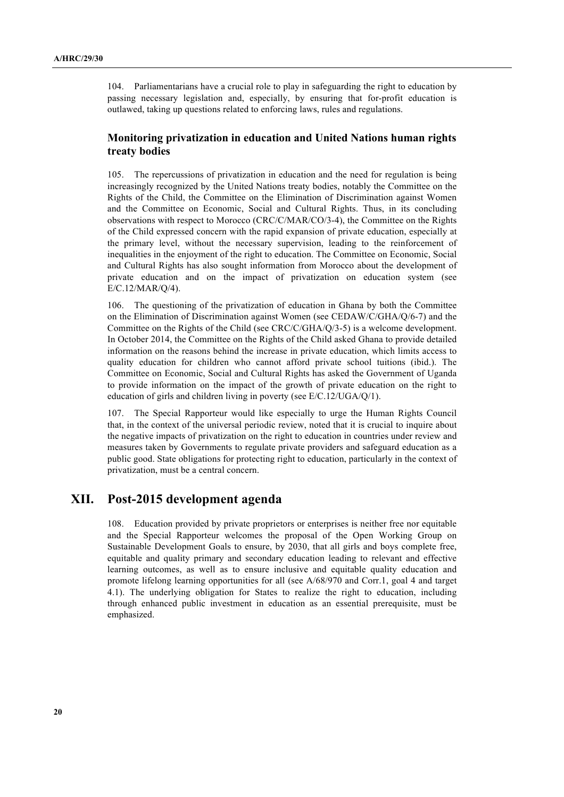104. Parliamentarians have a crucial role to play in safeguarding the right to education by passing necessary legislation and, especially, by ensuring that for-profit education is outlawed, taking up questions related to enforcing laws, rules and regulations.

#### **Monitoring privatization in education and United Nations human rights treaty bodies**

105. The repercussions of privatization in education and the need for regulation is being increasingly recognized by the United Nations treaty bodies, notably the Committee on the Rights of the Child, the Committee on the Elimination of Discrimination against Women and the Committee on Economic, Social and Cultural Rights. Thus, in its concluding observations with respect to Morocco (CRC/C/MAR/CO/3-4), the Committee on the Rights of the Child expressed concern with the rapid expansion of private education, especially at the primary level, without the necessary supervision, leading to the reinforcement of inequalities in the enjoyment of the right to education. The Committee on Economic, Social and Cultural Rights has also sought information from Morocco about the development of private education and on the impact of privatization on education system (see E/C.12/MAR/Q/4).

106. The questioning of the privatization of education in Ghana by both the Committee on the Elimination of Discrimination against Women (see CEDAW/C/GHA/Q/6-7) and the Committee on the Rights of the Child (see CRC/C/GHA/Q/3-5) is a welcome development. In October 2014, the Committee on the Rights of the Child asked Ghana to provide detailed information on the reasons behind the increase in private education, which limits access to quality education for children who cannot afford private school tuitions (ibid.). The Committee on Economic, Social and Cultural Rights has asked the Government of Uganda to provide information on the impact of the growth of private education on the right to education of girls and children living in poverty (see E/C.12/UGA/Q/1).

107. The Special Rapporteur would like especially to urge the Human Rights Council that, in the context of the universal periodic review, noted that it is crucial to inquire about the negative impacts of privatization on the right to education in countries under review and measures taken by Governments to regulate private providers and safeguard education as a public good. State obligations for protecting right to education, particularly in the context of privatization, must be a central concern.

# **XII. Post-2015 development agenda**

108. Education provided by private proprietors or enterprises is neither free nor equitable and the Special Rapporteur welcomes the proposal of the Open Working Group on Sustainable Development Goals to ensure, by 2030, that all girls and boys complete free, equitable and quality primary and secondary education leading to relevant and effective learning outcomes, as well as to ensure inclusive and equitable quality education and promote lifelong learning opportunities for all (see A/68/970 and Corr.1, goal 4 and target 4.1). The underlying obligation for States to realize the right to education, including through enhanced public investment in education as an essential prerequisite, must be emphasized.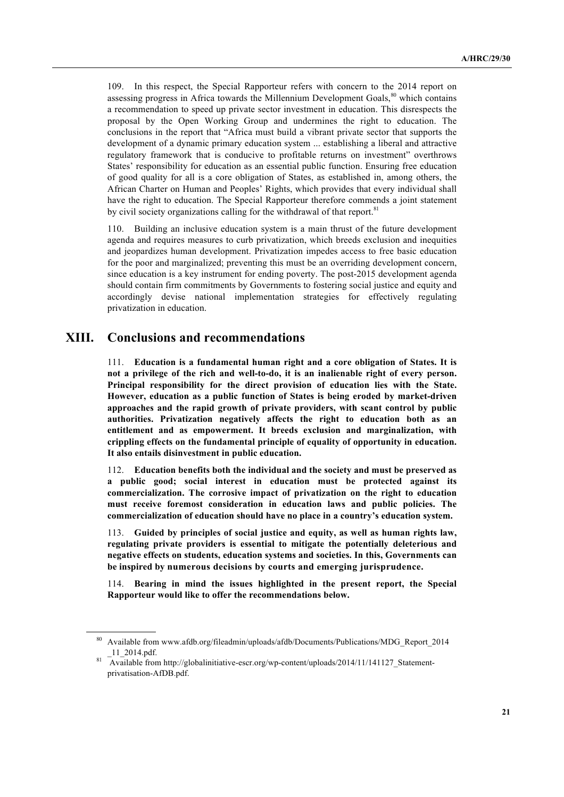109. In this respect, the Special Rapporteur refers with concern to the 2014 report on assessing progress in Africa towards the Millennium Development Goals,<sup>80</sup> which contains a recommendation to speed up private sector investment in education. This disrespects the proposal by the Open Working Group and undermines the right to education. The conclusions in the report that "Africa must build a vibrant private sector that supports the development of a dynamic primary education system ... establishing a liberal and attractive regulatory framework that is conducive to profitable returns on investment" overthrows States' responsibility for education as an essential public function. Ensuring free education of good quality for all is a core obligation of States, as established in, among others, the African Charter on Human and Peoples' Rights, which provides that every individual shall have the right to education. The Special Rapporteur therefore commends a joint statement by civil society organizations calling for the withdrawal of that report.<sup>81</sup>

110. Building an inclusive education system is a main thrust of the future development agenda and requires measures to curb privatization, which breeds exclusion and inequities and jeopardizes human development. Privatization impedes access to free basic education for the poor and marginalized; preventing this must be an overriding development concern, since education is a key instrument for ending poverty. The post-2015 development agenda should contain firm commitments by Governments to fostering social justice and equity and accordingly devise national implementation strategies for effectively regulating privatization in education.

# **XIII. Conclusions and recommendations**

111. **Education is a fundamental human right and a core obligation of States. It is not a privilege of the rich and well-to-do, it is an inalienable right of every person. Principal responsibility for the direct provision of education lies with the State. However, education as a public function of States is being eroded by market-driven approaches and the rapid growth of private providers, with scant control by public authorities. Privatization negatively affects the right to education both as an entitlement and as empowerment. It breeds exclusion and marginalization, with crippling effects on the fundamental principle of equality of opportunity in education. It also entails disinvestment in public education.**

112. **Education benefits both the individual and the society and must be preserved as a public good; social interest in education must be protected against its commercialization. The corrosive impact of privatization on the right to education must receive foremost consideration in education laws and public policies. The commercialization of education should have no place in a country's education system.** 

113. **Guided by principles of social justice and equity, as well as human rights law, regulating private providers is essential to mitigate the potentially deleterious and negative effects on students, education systems and societies. In this, Governments can be inspired by numerous decisions by courts and emerging jurisprudence.**

114. **Bearing in mind the issues highlighted in the present report, the Special Rapporteur would like to offer the recommendations below.**

<sup>80</sup> Available from www.afdb.org/fileadmin/uploads/afdb/Documents/Publications/MDG\_Report\_2014 \_11\_2014.pdf.

<sup>&</sup>lt;sup>81</sup> Available from http://globalinitiative-escr.org/wp-content/uploads/2014/11/141127 Statementprivatisation-AfDB.pdf.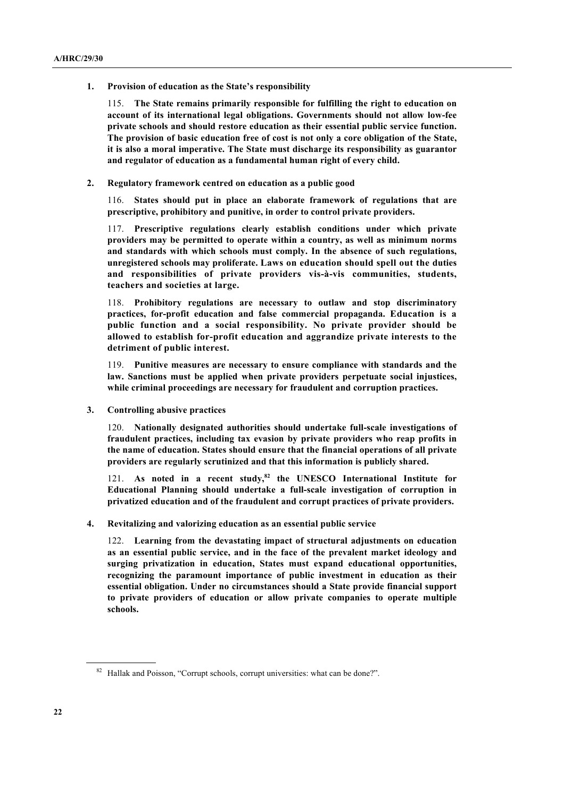**1. Provision of education as the State's responsibility**

115. **The State remains primarily responsible for fulfilling the right to education on account of its international legal obligations. Governments should not allow low-fee private schools and should restore education as their essential public service function. The provision of basic education free of cost is not only a core obligation of the State, it is also a moral imperative. The State must discharge its responsibility as guarantor and regulator of education as a fundamental human right of every child.**

**2. Regulatory framework centred on education as a public good**

116. **States should put in place an elaborate framework of regulations that are prescriptive, prohibitory and punitive, in order to control private providers.**

117. **Prescriptive regulations clearly establish conditions under which private providers may be permitted to operate within a country, as well as minimum norms and standards with which schools must comply. In the absence of such regulations, unregistered schools may proliferate. Laws on education should spell out the duties and responsibilities of private providers vis-à-vis communities, students, teachers and societies at large.**

118. **Prohibitory regulations are necessary to outlaw and stop discriminatory practices, for-profit education and false commercial propaganda. Education is a public function and a social responsibility. No private provider should be allowed to establish for-profit education and aggrandize private interests to the detriment of public interest.** 

119. **Punitive measures are necessary to ensure compliance with standards and the law. Sanctions must be applied when private providers perpetuate social injustices, while criminal proceedings are necessary for fraudulent and corruption practices.** 

**3. Controlling abusive practices** 

120. **Nationally designated authorities should undertake full-scale investigations of fraudulent practices, including tax evasion by private providers who reap profits in the name of education. States should ensure that the financial operations of all private providers are regularly scrutinized and that this information is publicly shared.** 

121. As noted in a recent study,<sup>82</sup> the UNESCO International Institute for **Educational Planning should undertake a full-scale investigation of corruption in privatized education and of the fraudulent and corrupt practices of private providers.** 

**4. Revitalizing and valorizing education as an essential public service**

122. **Learning from the devastating impact of structural adjustments on education as an essential public service, and in the face of the prevalent market ideology and surging privatization in education, States must expand educational opportunities, recognizing the paramount importance of public investment in education as their essential obligation. Under no circumstances should a State provide financial support to private providers of education or allow private companies to operate multiple schools.**

<sup>&</sup>lt;sup>82</sup> Hallak and Poisson, "Corrupt schools, corrupt universities: what can be done?".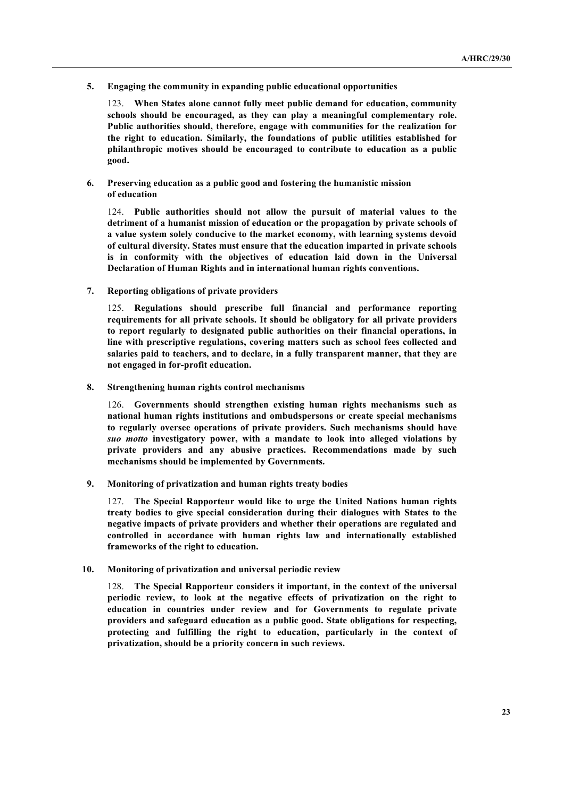**5. Engaging the community in expanding public educational opportunities**

123. **When States alone cannot fully meet public demand for education, community schools should be encouraged, as they can play a meaningful complementary role. Public authorities should, therefore, engage with communities for the realization for the right to education. Similarly, the foundations of public utilities established for philanthropic motives should be encouraged to contribute to education as a public good.** 

**6. Preserving education as a public good and fostering the humanistic mission of education**

124. **Public authorities should not allow the pursuit of material values to the detriment of a humanist mission of education or the propagation by private schools of a value system solely conducive to the market economy, with learning systems devoid of cultural diversity. States must ensure that the education imparted in private schools is in conformity with the objectives of education laid down in the Universal Declaration of Human Rights and in international human rights conventions.**

**7. Reporting obligations of private providers**

125. **Regulations should prescribe full financial and performance reporting requirements for all private schools. It should be obligatory for all private providers to report regularly to designated public authorities on their financial operations, in line with prescriptive regulations, covering matters such as school fees collected and salaries paid to teachers, and to declare, in a fully transparent manner, that they are not engaged in for-profit education.**

**8. Strengthening human rights control mechanisms**

126. **Governments should strengthen existing human rights mechanisms such as national human rights institutions and ombudspersons or create special mechanisms to regularly oversee operations of private providers. Such mechanisms should have**  *suo motto* **investigatory power, with a mandate to look into alleged violations by private providers and any abusive practices. Recommendations made by such mechanisms should be implemented by Governments.** 

**9. Monitoring of privatization and human rights treaty bodies** 

127. **The Special Rapporteur would like to urge the United Nations human rights treaty bodies to give special consideration during their dialogues with States to the negative impacts of private providers and whether their operations are regulated and controlled in accordance with human rights law and internationally established frameworks of the right to education.**

**10. Monitoring of privatization and universal periodic review**

128. **The Special Rapporteur considers it important, in the context of the universal periodic review, to look at the negative effects of privatization on the right to education in countries under review and for Governments to regulate private providers and safeguard education as a public good. State obligations for respecting, protecting and fulfilling the right to education, particularly in the context of privatization, should be a priority concern in such reviews.**